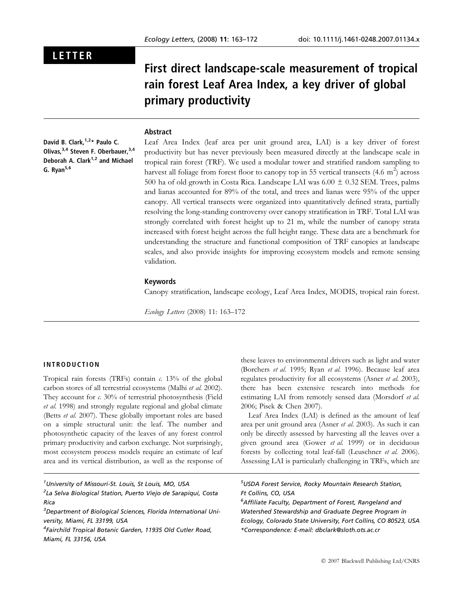# LETTER

First direct landscape-scale measurement of tropical rain forest Leaf Area Index, a key driver of global primary productivity

# Abstract

David B. Clark,  $1,2*$  Paulo C. Olivas.<sup>3,4</sup> Steven F. Oberbauer.<sup>3,4</sup> Deborah A. Clark<sup>1,2</sup> and Michael G. Ryan<sup>5,6</sup>

Leaf Area Index (leaf area per unit ground area, LAI) is a key driver of forest productivity but has never previously been measured directly at the landscape scale in tropical rain forest (TRF). We used a modular tower and stratified random sampling to harvest all foliage from forest floor to canopy top in 55 vertical transects (4.6  $\mathrm{m}^2)$  across 500 ha of old growth in Costa Rica. Landscape LAI was  $6.00 \pm 0.32$  SEM. Trees, palms and lianas accounted for 89% of the total, and trees and lianas were 95% of the upper canopy. All vertical transects were organized into quantitatively defined strata, partially resolving the long-standing controversy over canopy stratification in TRF. Total LAI was strongly correlated with forest height up to 21 m, while the number of canopy strata increased with forest height across the full height range. These data are a benchmark for understanding the structure and functional composition of TRF canopies at landscape scales, and also provide insights for improving ecosystem models and remote sensing validation.

## Keywords

Canopy stratification, landscape ecology, Leaf Area Index, MODIS, tropical rain forest.

Ecology Letters (2008) 11: 163–172

# INTRODUCTION

Tropical rain forests (TRFs) contain  $c$ . 13% of the global carbon stores of all terrestrial ecosystems (Malhi et al. 2002). They account for  $\alpha$  30% of terrestrial photosynthesis (Field et al. 1998) and strongly regulate regional and global climate (Betts et al. 2007). These globally important roles are based on a simple structural unit: the leaf. The number and photosynthetic capacity of the leaves of any forest control primary productivity and carbon exchange. Not surprisingly, most ecosystem process models require an estimate of leaf area and its vertical distribution, as well as the response of

<sup>1</sup>University of Missouri-St. Louis, St Louis, MO, USA

<sup>2</sup>La Selva Biological Station, Puerto Viejo de Sarapiquí, Costa Rica

these leaves to environmental drivers such as light and water (Borchers et al. 1995; Ryan et al. 1996). Because leaf area regulates productivity for all ecosystems (Asner et al. 2003), there has been extensive research into methods for estimating LAI from remotely sensed data (Morsdorf et al. 2006; Pisek & Chen 2007).

Leaf Area Index (LAI) is defined as the amount of leaf area per unit ground area (Asner et al. 2003). As such it can only be directly assessed by harvesting all the leaves over a given ground area (Gower et al. 1999) or in deciduous forests by collecting total leaf-fall (Leuschner et al. 2006). Assessing LAI is particularly challenging in TRFs, which are

# 5 USDA Forest Service, Rocky Mountain Research Station, Ft Collins, CO, USA

<sup>6</sup> Affiliate Faculty, Department of Forest, Rangeland and Watershed Stewardship and Graduate Degree Program in Ecology, Colorado State University, Fort Collins, CO 80523, USA \*Correspondence: E-mail: dbclark@sloth.ots.ac.cr

<sup>&</sup>lt;sup>3</sup>Department of Biological Sciences, Florida International University, Miami, FL 33199, USA

<sup>4</sup> Fairchild Tropical Botanic Garden, 11935 Old Cutler Road, Miami, FL 33156, USA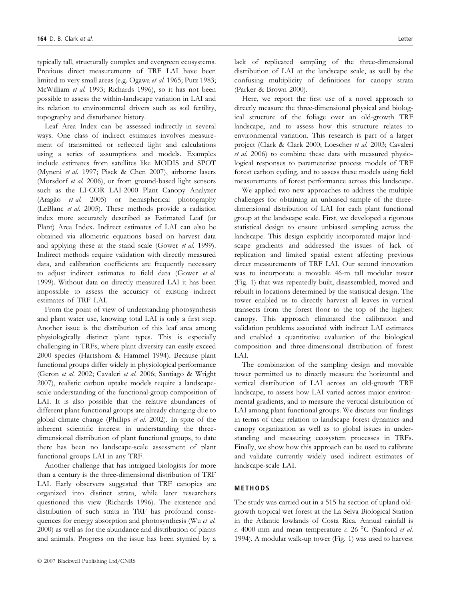typically tall, structurally complex and evergreen ecosystems. Previous direct measurements of TRF LAI have been limited to very small areas (e.g. Ogawa et al. 1965; Putz 1983; McWilliam et al. 1993; Richards 1996), so it has not been possible to assess the within-landscape variation in LAI and its relation to environmental drivers such as soil fertility, topography and disturbance history.

Leaf Area Index can be assessed indirectly in several ways. One class of indirect estimates involves measurement of transmitted or reflected light and calculations using a series of assumptions and models. Examples include estimates from satellites like MODIS and SPOT (Myneni et al. 1997; Pisek & Chen 2007), airborne lasers (Morsdorf et al. 2006), or from ground-based light sensors such as the LI-COR LAI-2000 Plant Canopy Analyzer (Aragão et al. 2005) or hemispherical photography (LeBlanc et al. 2005). These methods provide a radiation index more accurately described as Estimated Leaf (or Plant) Area Index. Indirect estimates of LAI can also be obtained via allometric equations based on harvest data and applying these at the stand scale (Gower et al. 1999). Indirect methods require validation with directly measured data, and calibration coefficients are frequently necessary to adjust indirect estimates to field data (Gower et al. 1999). Without data on directly measured LAI it has been impossible to assess the accuracy of existing indirect estimates of TRF LAI.

From the point of view of understanding photosynthesis and plant water use, knowing total LAI is only a first step. Another issue is the distribution of this leaf area among physiologically distinct plant types. This is especially challenging in TRFs, where plant diversity can easily exceed 2000 species (Hartshorn & Hammel 1994). Because plant functional groups differ widely in physiological performance (Geron et al. 2002; Cavaleri et al. 2006; Santiago & Wright 2007), realistic carbon uptake models require a landscapescale understanding of the functional-group composition of LAI. It is also possible that the relative abundances of different plant functional groups are already changing due to global climate change (Phillips et al. 2002). In spite of the inherent scientific interest in understanding the threedimensional distribution of plant functional groups, to date there has been no landscape-scale assessment of plant functional groups LAI in any TRF.

Another challenge that has intrigued biologists for more than a century is the three-dimensional distribution of TRF LAI. Early observers suggested that TRF canopies are organized into distinct strata, while later researchers questioned this view (Richards 1996). The existence and distribution of such strata in TRF has profound consequences for energy absorption and photosynthesis (Wu et al. 2000) as well as for the abundance and distribution of plants and animals. Progress on the issue has been stymied by a lack of replicated sampling of the three-dimensional distribution of LAI at the landscape scale, as well by the confusing multiplicity of definitions for canopy strata (Parker & Brown 2000).

Here, we report the first use of a novel approach to directly measure the three-dimensional physical and biological structure of the foliage over an old-growth TRF landscape, and to assess how this structure relates to environmental variation. This research is part of a larger project (Clark & Clark 2000; Loescher et al. 2003; Cavaleri et al. 2006) to combine these data with measured physiological responses to parameterize process models of TRF forest carbon cycling, and to assess these models using field measurements of forest performance across this landscape.

We applied two new approaches to address the multiple challenges for obtaining an unbiased sample of the threedimensional distribution of LAI for each plant functional group at the landscape scale. First, we developed a rigorous statistical design to ensure unbiased sampling across the landscape. This design explicitly incorporated major landscape gradients and addressed the issues of lack of replication and limited spatial extent affecting previous direct measurements of TRF LAI. Our second innovation was to incorporate a movable 46-m tall modular tower (Fig. 1) that was repeatedly built, disassembled, moved and rebuilt in locations determined by the statistical design. The tower enabled us to directly harvest all leaves in vertical transects from the forest floor to the top of the highest canopy. This approach eliminated the calibration and validation problems associated with indirect LAI estimates and enabled a quantitative evaluation of the biological composition and three-dimensional distribution of forest LAI.

The combination of the sampling design and movable tower permitted us to directly measure the horizontal and vertical distribution of LAI across an old-growth TRF landscape, to assess how LAI varied across major environmental gradients, and to measure the vertical distribution of LAI among plant functional groups. We discuss our findings in terms of their relation to landscape forest dynamics and canopy organization as well as to global issues in understanding and measuring ecosystem processes in TRFs. Finally, we show how this approach can be used to calibrate and validate currently widely used indirect estimates of landscape-scale LAI.

# METHODS

The study was carried out in a 515 ha section of upland oldgrowth tropical wet forest at the La Selva Biological Station in the Atlantic lowlands of Costa Rica. Annual rainfall is c. 4000 mm and mean temperature c. 26 °C (Sanford et al. 1994). A modular walk-up tower (Fig. 1) was used to harvest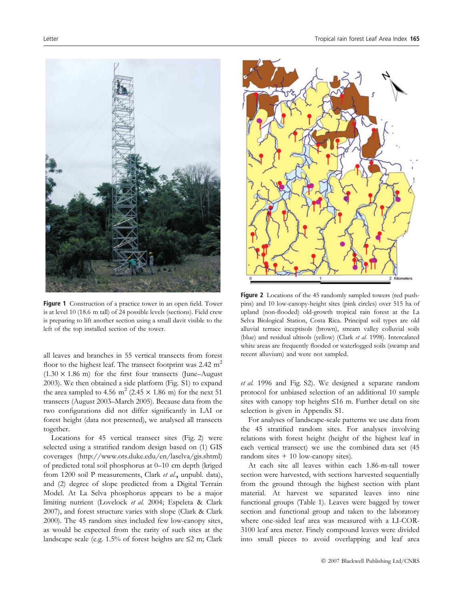

Figure 1 Construction of a practice tower in an open field. Tower is at level 10 (18.6 m tall) of 24 possible levels (sections). Field crew is preparing to lift another section using a small davit visible to the left of the top installed section of the tower.

all leaves and branches in 55 vertical transects from forest floor to the highest leaf. The transect footprint was  $2.42 \text{ m}^2$  $(1.30 \times 1.86 \text{ m})$  for the first four transects (June–August 2003). We then obtained a side platform (Fig. S1) to expand the area sampled to 4.56 m<sup>2</sup> (2.45  $\times$  1.86 m) for the next 51 transects (August 2003–March 2005). Because data from the two configurations did not differ significantly in LAI or forest height (data not presented), we analysed all transects together.

Locations for 45 vertical transect sites (Fig. 2) were selected using a stratified random design based on (1) GIS coverages (http://www.ots.duke.edu/en/laselva/gis.shtml) of predicted total soil phosphorus at 0–10 cm depth (kriged from 1200 soil P measurements, Clark et al., unpubl. data), and (2) degree of slope predicted from a Digital Terrain Model. At La Selva phosphorus appears to be a major limiting nutrient (Lovelock et al. 2004; Espeleta & Clark 2007), and forest structure varies with slope (Clark & Clark 2000). The 45 random sites included few low-canopy sites, as would be expected from the rarity of such sites at the landscape scale (e.g.  $1.5\%$  of forest heights are  $\leq 2$  m; Clark



Figure 2 Locations of the 45 randomly sampled towers (red pushpins) and 10 low-canopy-height sites (pink circles) over 515 ha of upland (non-flooded) old-growth tropical rain forest at the La Selva Biological Station, Costa Rica. Principal soil types are old alluvial terrace inceptisols (brown), stream valley colluvial soils (blue) and residual ultisols (yellow) (Clark et al. 1998). Intercalated white areas are frequently flooded or waterlogged soils (swamp and recent alluvium) and were not sampled.

et al. 1996 and Fig. S2). We designed a separate random protocol for unbiased selection of an additional 10 sample sites with canopy top heights  $\leq 16$  m. Further detail on site selection is given in Appendix S1.

For analyses of landscape-scale patterns we use data from the 45 stratified random sites. For analyses involving relations with forest height (height of the highest leaf in each vertical transect) we use the combined data set (45 random sites  $+10$  low-canopy sites).

At each site all leaves within each 1.86-m-tall tower section were harvested, with sections harvested sequentially from the ground through the highest section with plant material. At harvest we separated leaves into nine functional groups (Table 1). Leaves were bagged by tower section and functional group and taken to the laboratory where one-sided leaf area was measured with a LI-COR-3100 leaf area meter. Finely compound leaves were divided into small pieces to avoid overlapping and leaf area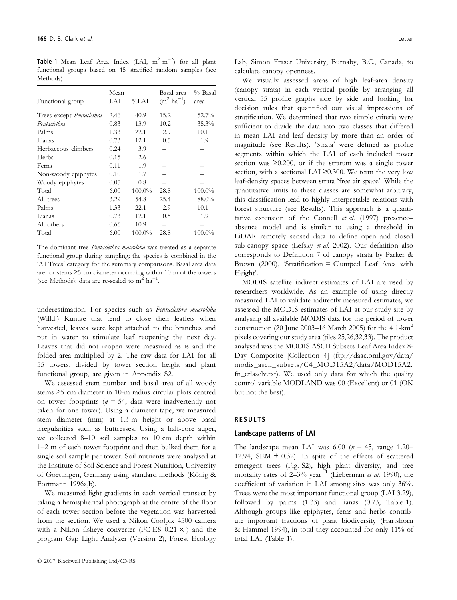**Table 1** Mean Leaf Area Index (LAI,  $m^2 m^{-2}$ ) for all plant functional groups based on 45 stratified random samples (see Methods)

| Functional group          | Mean<br>LAI | $\%$ LAI | Basal area<br>$(m^2 \text{ ha}^{-1})$ | $%$ Basal<br>area |
|---------------------------|-------------|----------|---------------------------------------|-------------------|
| Trees except Pentaclethra | 2.46        | 40.9     | 15.2                                  | 52.7%             |
| Pentaclethra              | 0.83        | 13.9     | 10.2                                  | 35.3%             |
| Palms                     | 1.33        | 22.1     | 2.9                                   | 10.1              |
| Lianas                    | 0.73        | 12.1     | 0.5                                   | 1.9               |
| Herbaceous climbers       | 0.24        | 3.9      |                                       |                   |
| Herbs                     | 0.15        | 2.6      |                                       |                   |
| Ferns                     | 0.11        | 1.9      |                                       |                   |
| Non-woody epiphytes       | 0.10        | 1.7      |                                       |                   |
| Woody epiphytes           | 0.05        | 0.8      |                                       |                   |
| Total                     | 6.00        | 100.0%   | 28.8                                  | 100.0%            |
| All trees                 | 3.29        | 54.8     | 25.4                                  | 88.0%             |
| Palms                     | 1.33        | 22.1     | 2.9                                   | 10.1              |
| Lianas                    | 0.73        | 12.1     | 0.5                                   | 1.9               |
| All others                | 0.66        | 10.9     |                                       |                   |
| Total                     | 6.00        | 100.0%   | 28.8                                  | 100.0%            |

The dominant tree *Pentaclethra macroloba* was treated as a separate functional group during sampling; the species is combined in the 'All Trees' category for the summary comparisons. Basal area data are for stems  $\geq$ 5 cm diameter occurring within 10 m of the towers (see Methods); data are re-scaled to  $m^2$  ha<sup>-1</sup>.

underestimation. For species such as Pentaclethra macroloba (Willd.) Kuntze that tend to close their leaflets when harvested, leaves were kept attached to the branches and put in water to stimulate leaf reopening the next day. Leaves that did not reopen were measured as is and the folded area multiplied by 2. The raw data for LAI for all 55 towers, divided by tower section height and plant functional group, are given in Appendix S2.

We assessed stem number and basal area of all woody stems  $\geq$ 5 cm diameter in 10-m radius circular plots centred on tower footprints ( $n = 54$ ; data were inadvertently not taken for one tower). Using a diameter tape, we measured stem diameter (mm) at 1.3 m height or above basal irregularities such as buttresses. Using a half-core auger, we collected 8–10 soil samples to 10 cm depth within 1–2 m of each tower footprint and then bulked them for a single soil sample per tower. Soil nutrients were analysed at the Institute of Soil Science and Forest Nutrition, University of Goettingen, Germany using standard methods (König & Fortmann 1996a,b).

We measured light gradients in each vertical transect by taking a hemispherical photograph at the centre of the floor of each tower section before the vegetation was harvested from the section. We used a Nikon Coolpix 4500 camera with a Nikon fisheye converter (FC-E8  $0.21 \times$ ) and the program Gap Light Analyzer (Version 2), Forest Ecology Lab, Simon Fraser University, Burnaby, B.C., Canada, to calculate canopy openness.

We visually assessed areas of high leaf-area density (canopy strata) in each vertical profile by arranging all vertical 55 profile graphs side by side and looking for decision rules that quantified our visual impressions of stratification. We determined that two simple criteria were sufficient to divide the data into two classes that differed in mean LAI and leaf density by more than an order of magnitude (see Results). 'Strata' were defined as profile segments within which the LAI of each included tower section was  $\geq 0.200$ , or if the stratum was a single tower section, with a sectional LAI  $\geq$ 0.300. We term the very low leaf-density spaces between strata 'free air space'. While the quantitative limits to these classes are somewhat arbitrary, this classification lead to highly interpretable relations with forest structure (see Results). This approach is a quantitative extension of the Connell et al. (1997) presenceabsence model and is similar to using a threshold in LiDAR remotely sensed data to define open and closed sub-canopy space (Lefsky et al. 2002). Our definition also corresponds to Definition 7 of canopy strata by Parker & Brown (2000), 'Stratification = Clumped Leaf Area with Height'.

MODIS satellite indirect estimates of LAI are used by researchers worldwide. As an example of using directly measured LAI to validate indirectly measured estimates, we assessed the MODIS estimates of LAI at our study site by analysing all available MODIS data for the period of tower construction (20 June 2003–16 March 2005) for the  $4.1 \text{ km}^2$ pixels covering our study area (tiles 25,26,32,33). The product analysed was the MODIS ASCII Subsets Leaf Area Index 8- Day Composite [Collection 4] (ftp://daac.ornl.gov/data/ modis\_ascii\_subsets/C4\_MOD15A2/data/MOD15A2. fn\_crlaselv.txt). We used only data for which the quality control variable MODLAND was 00 (Excellent) or 01 (OK but not the best).

## RESULTS

#### Landscape patterns of LAI

The landscape mean LAI was  $6.00$  ( $n = 45$ , range 1.20– 12.94, SEM  $\pm$  0.32). In spite of the effects of scattered emergent trees (Fig. S2), high plant diversity, and tree mortality rates of  $2-3\%$  year<sup>-1</sup> (Lieberman *et al.* 1990), the coefficient of variation in LAI among sites was only 36%. Trees were the most important functional group (LAI 3.29), followed by palms (1.33) and lianas (0.73, Table 1). Although groups like epiphytes, ferns and herbs contribute important fractions of plant biodiversity (Hartshorn & Hammel 1994), in total they accounted for only 11% of total LAI (Table 1).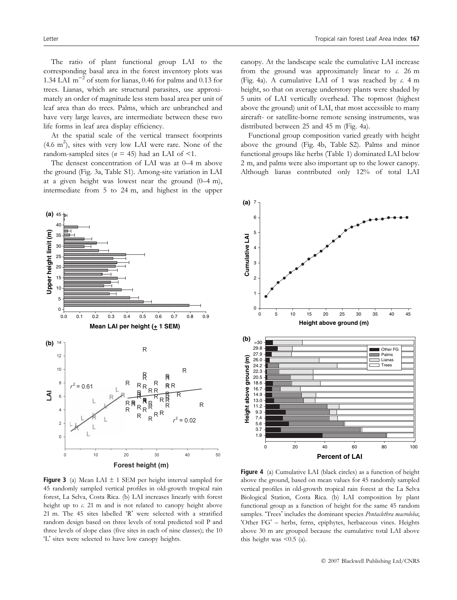The ratio of plant functional group LAI to the corresponding basal area in the forest inventory plots was 1.34 LAI  $m^{-2}$  of stem for lianas, 0.46 for palms and 0.13 for trees. Lianas, which are structural parasites, use approximately an order of magnitude less stem basal area per unit of leaf area than do trees. Palms, which are unbranched and have very large leaves, are intermediate between these two life forms in leaf area display efficiency.

At the spatial scale of the vertical transect footprints  $(4.6 \text{ m}^2)$ , sites with very low LAI were rare. None of the random-sampled sites ( $n = 45$ ) had an LAI of <1.

The densest concentration of LAI was at 0–4 m above the ground (Fig. 3a, Table S1). Among-site variation in LAI at a given height was lowest near the ground (0–4 m), intermediate from 5 to 24 m, and highest in the upper



canopy. At the landscape scale the cumulative LAI increase from the ground was approximately linear to  $\alpha$ . 26 m (Fig. 4a). A cumulative LAI of 1 was reached by  $c$ . 4 m height, so that on average understory plants were shaded by 5 units of LAI vertically overhead. The topmost (highest above the ground) unit of LAI, that most accessible to many aircraft- or satellite-borne remote sensing instruments, was distributed between 25 and 45 m (Fig. 4a).

Functional group composition varied greatly with height above the ground (Fig. 4b, Table S2). Palms and minor functional groups like herbs (Table 1) dominated LAI below 2 m, and palms were also important up to the lower canopy. Although lianas contributed only 12% of total LAI



**Figure 3** (a) Mean LAI  $\pm$  1 SEM per height interval sampled for 45 randomly sampled vertical profiles in old-growth tropical rain forest, La Selva, Costa Rica. (b) LAI increases linearly with forest height up to c. 21 m and is not related to canopy height above 21 m. The 45 sites labelled 'R' were selected with a stratified random design based on three levels of total predicted soil P and three levels of slope class (five sites in each of nine classes); the 10 'L' sites were selected to have low canopy heights.

Figure 4 (a) Cumulative LAI (black circles) as a function of height above the ground, based on mean values for 45 randomly sampled vertical profiles in old-growth tropical rain forest at the La Selva Biological Station, Costa Rica. (b) LAI composition by plant functional group as a function of height for the same 45 random samples. 'Trees' includes the dominant species Pentaclethra macroloba; 'Other FG' - herbs, ferns, epiphytes, herbaceous vines. Heights above 30 m are grouped because the cumulative total LAI above this height was  $\leq 0.5$  (a).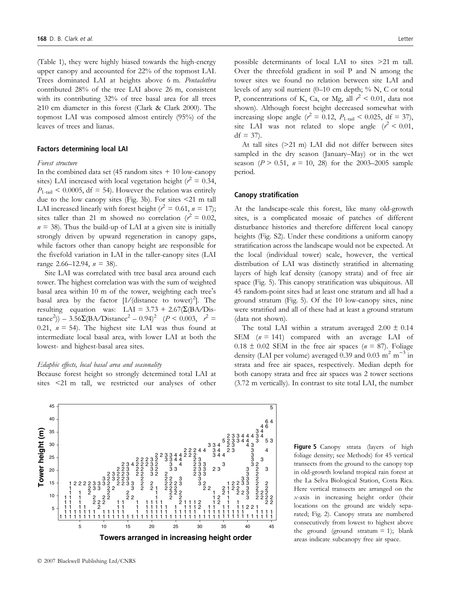(Table 1), they were highly biased towards the high-energy upper canopy and accounted for 22% of the topmost LAI. Trees dominated LAI at heights above 6 m. Pentaclethra contributed 28% of the tree LAI above 26 m, consistent with its contributing 32% of tree basal area for all trees  $\geq$ 10 cm diameter in this forest (Clark & Clark 2000). The topmost LAI was composed almost entirely (95%) of the leaves of trees and lianas.

#### Factors determining local LAI

## Forest structure

**Tower height (m)**

Tower height (m)

 

 

 

   

   

     

   

 

 

 

    2

2<br>2<br>2<br>2<br>2<br>2

     

 

 

 

 

 

 

 

 

 

 

In the combined data set (45 random sites  $+10$  low-canopy sites) LAI increased with local vegetation height ( $r^2 = 0.34$ ,  $P_{1\text{-tail}} < 0.0005$ , df = 54). However the relation was entirely due to the low canopy sites (Fig. 3b). For sites <21 m tall LAI increased linearly with forest height ( $r^2 = 0.61$ ,  $n = 17$ ); sites taller than 21 m showed no correlation ( $r^2 = 0.02$ ,  $n = 38$ ). Thus the build-up of LAI at a given site is initially strongly driven by upward regeneration in canopy gaps, while factors other than canopy height are responsible for the fivefold variation in LAI in the taller-canopy sites (LAI range 2.66–12.94,  $n = 38$ ).

Site LAI was correlated with tree basal area around each tower. The highest correlation was with the sum of weighted basal area within 10 m of the tower, weighting each tree's basal area by the factor  $[1/(\text{distance to tower})^2]$ . The resulting equation was: LAI =  $3.73 + 2.67(\Sigma(BA/D)s$ - $\text{tance}^2$ ) – 3.56 $\Sigma$ (BA/Distance<sup>2</sup> – 0.94)<sup>2</sup> (P < 0.003,  $r^2$  = 0.21,  $n = 54$ ). The highest site LAI was thus found at intermediate local basal area, with lower LAI at both the lowest- and highest-basal area sites.

#### Edaphic effects, local basal area and seasonality

Because forest height so strongly determined total LAI at sites <21 m tall, we restricted our analyses of other

**Towers arranged in increasing height order** 10 15 20 25 30 35 40 45

possible determinants of local LAI to sites >21 m tall. Over the threefold gradient in soil P and N among the tower sites we found no relation between site LAI and levels of any soil nutrient  $(0-10 \text{ cm depth}; \frac{9}{9} \text{ N}, \text{C} \text{ or total})$ P, concentrations of K, Ca, or Mg, all  $r^2$  < 0.01, data not shown). Although forest height decreased somewhat with increasing slope angle ( $r^2 = 0.12$ ,  $P_{1\text{-tail}} < 0.025$ , df = 37), site LAI was not related to slope angle  $(r^2 < 0.01)$ ,  $df = 37$ .

At tall sites (>21 m) LAI did not differ between sites sampled in the dry season (January–May) or in the wet season ( $P > 0.51$ ,  $n = 10$ , 28) for the 2003–2005 sample period.

#### Canopy stratification

At the landscape-scale this forest, like many old-growth sites, is a complicated mosaic of patches of different disturbance histories and therefore different local canopy heights (Fig. S2). Under these conditions a uniform canopy stratification across the landscape would not be expected. At the local (individual tower) scale, however, the vertical distribution of LAI was distinctly stratified in alternating layers of high leaf density (canopy strata) and of free air space (Fig. 5). This canopy stratification was ubiquitous. All 45 random-point sites had at least one stratum and all had a ground stratum (Fig. 5). Of the 10 low-canopy sites, nine were stratified and all of these had at least a ground stratum (data not shown).

The total LAI within a stratum averaged  $2.00 \pm 0.14$ SEM  $(n = 141)$  compared with an average LAI of  $0.18 \pm 0.02$  SEM in the free air spaces ( $n = 87$ ). Foliage density (LAI per volume) averaged 0.39 and 0.03 m<sup>2</sup> m<sup>-3</sup> in strata and free air spaces, respectively. Median depth for both canopy strata and free air spaces was 2 tower sections (3.72 m vertically). In contrast to site total LAI, the number

> Figure 5 Canopy strata (layers of high foliage density; see Methods) for 45 vertical transects from the ground to the canopy top in old-growth lowland tropical rain forest at the La Selva Biological Station, Costa Rica. Here vertical transects are arranged on the x-axis in increasing height order (their locations on the ground are widely separated; Fig. 2). Canopy strata are numbered consecutively from lowest to highest above the ground (ground stratum  $= 1$ ); blank areas indicate subcanopy free air space.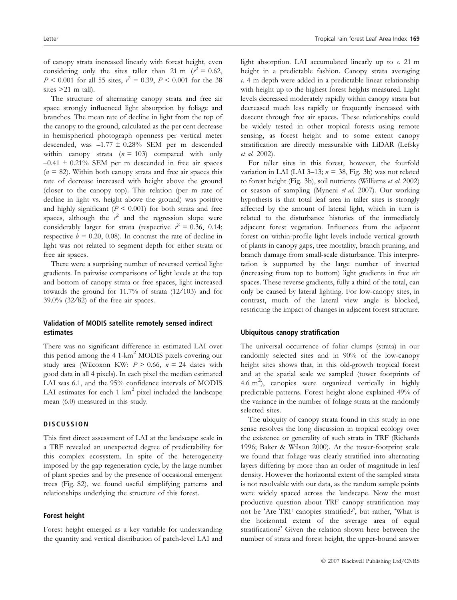of canopy strata increased linearly with forest height, even considering only the sites taller than 21 m ( $r^2 = 0.62$ ,  $P < 0.001$  for all 55 sites,  $r^2 = 0.39$ ,  $P < 0.001$  for the 38 sites >21 m tall).

The structure of alternating canopy strata and free air space strongly influenced light absorption by foliage and branches. The mean rate of decline in light from the top of the canopy to the ground, calculated as the per cent decrease in hemispherical photograph openness per vertical meter descended, was –1.77 ± 0.28% SEM per m descended within canopy strata ( $n = 103$ ) compared with only  $-0.41 \pm 0.21\%$  SEM per m descended in free air spaces  $(n = 82)$ . Within both canopy strata and free air spaces this rate of decrease increased with height above the ground (closer to the canopy top). This relation (per m rate of decline in light vs. height above the ground) was positive and highly significant ( $P < 0.001$ ) for both strata and free spaces, although the  $r^2$  and the regression slope were considerably larger for strata (respective  $r^2 = 0.36, 0.14;$ respective  $b = 0.20, 0.08$ . In contrast the rate of decline in light was not related to segment depth for either strata or free air spaces.

There were a surprising number of reversed vertical light gradients. In pairwise comparisons of light levels at the top and bottom of canopy strata or free spaces, light increased towards the ground for  $11.7\%$  of strata (12/103) and for 39.0% (32/82) of the free air spaces.

# Validation of MODIS satellite remotely sensed indirect estimates

There was no significant difference in estimated LAI over this period among the 4 1-km<sup>2</sup> MODIS pixels covering our study area (Wilcoxon KW:  $P > 0.66$ ,  $n = 24$  dates with good data in all 4 pixels). In each pixel the median estimated LAI was 6.1, and the 95% confidence intervals of MODIS LAI estimates for each  $1 \text{ km}^2$  pixel included the landscape mean (6.0) measured in this study.

# **DISCUSSION**

This first direct assessment of LAI at the landscape scale in a TRF revealed an unexpected degree of predictability for this complex ecosystem. In spite of the heterogeneity imposed by the gap regeneration cycle, by the large number of plant species and by the presence of occasional emergent trees (Fig. S2), we found useful simplifying patterns and relationships underlying the structure of this forest.

## Forest height

Forest height emerged as a key variable for understanding the quantity and vertical distribution of patch-level LAI and

light absorption. LAI accumulated linearly up to  $\alpha$ . 21 m height in a predictable fashion. Canopy strata averaging c. 4 m depth were added in a predictable linear relationship with height up to the highest forest heights measured. Light levels decreased moderately rapidly within canopy strata but decreased much less rapidly or frequently increased with descent through free air spaces. These relationships could be widely tested in other tropical forests using remote sensing, as forest height and to some extent canopy stratification are directly measurable with LiDAR (Lefsky et al. 2002).

For taller sites in this forest, however, the fourfold variation in LAI (LAI 3–13;  $n = 38$ , Fig. 3b) was not related to forest height (Fig. 3b), soil nutrients (Williams et al. 2002) or season of sampling (Myneni et al. 2007). Our working hypothesis is that total leaf area in taller sites is strongly affected by the amount of lateral light, which in turn is related to the disturbance histories of the immediately adjacent forest vegetation. Influences from the adjacent forest on within-profile light levels include vertical growth of plants in canopy gaps, tree mortality, branch pruning, and branch damage from small-scale disturbance. This interpretation is supported by the large number of inverted (increasing from top to bottom) light gradients in free air spaces. These reverse gradients, fully a third of the total, can only be caused by lateral lighting. For low-canopy sites, in contrast, much of the lateral view angle is blocked, restricting the impact of changes in adjacent forest structure.

## Ubiquitous canopy stratification

The universal occurrence of foliar clumps (strata) in our randomly selected sites and in 90% of the low-canopy height sites shows that, in this old-growth tropical forest and at the spatial scale we sampled (tower footprints of 4.6 m<sup>2</sup>), canopies were organized vertically in highly predictable patterns. Forest height alone explained 49% of the variance in the number of foliage strata at the randomly selected sites.

The ubiquity of canopy strata found in this study in one sense resolves the long discussion in tropical ecology over the existence or generality of such strata in TRF (Richards 1996; Baker & Wilson 2000). At the tower-footprint scale we found that foliage was clearly stratified into alternating layers differing by more than an order of magnitude in leaf density. However the horizontal extent of the sampled strata is not resolvable with our data, as the random sample points were widely spaced across the landscape. Now the most productive question about TRF canopy stratification may not be 'Are TRF canopies stratified?', but rather, 'What is the horizontal extent of the average area of equal stratification? Given the relation shown here between the number of strata and forest height, the upper-bound answer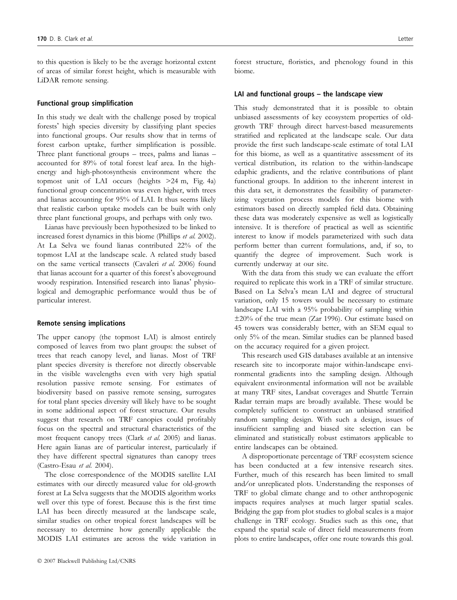to this question is likely to be the average horizontal extent of areas of similar forest height, which is measurable with LiDAR remote sensing.

#### Functional group simplification

In this study we dealt with the challenge posed by tropical forests' high species diversity by classifying plant species into functional groups. Our results show that in terms of forest carbon uptake, further simplification is possible. Three plant functional groups – trees, palms and lianas – accounted for 89% of total forest leaf area. In the highenergy and high-photosynthesis environment where the topmost unit of LAI occurs (heights >24 m, Fig. 4a) functional group concentration was even higher, with trees and lianas accounting for 95% of LAI. It thus seems likely that realistic carbon uptake models can be built with only three plant functional groups, and perhaps with only two.

Lianas have previously been hypothesized to be linked to increased forest dynamics in this biome (Phillips et al. 2002). At La Selva we found lianas contributed 22% of the topmost LAI at the landscape scale. A related study based on the same vertical transects (Cavaleri et al. 2006) found that lianas account for a quarter of this forest's aboveground woody respiration. Intensified research into lianas' physiological and demographic performance would thus be of particular interest.

#### Remote sensing implications

The upper canopy (the topmost LAI) is almost entirely composed of leaves from two plant groups: the subset of trees that reach canopy level, and lianas. Most of TRF plant species diversity is therefore not directly observable in the visible wavelengths even with very high spatial resolution passive remote sensing. For estimates of biodiversity based on passive remote sensing, surrogates for total plant species diversity will likely have to be sought in some additional aspect of forest structure. Our results suggest that research on TRF canopies could profitably focus on the spectral and structural characteristics of the most frequent canopy trees (Clark et al. 2005) and lianas. Here again lianas are of particular interest, particularly if they have different spectral signatures than canopy trees (Castro-Esau et al. 2004).

The close correspondence of the MODIS satellite LAI estimates with our directly measured value for old-growth forest at La Selva suggests that the MODIS algorithm works well over this type of forest. Because this is the first time LAI has been directly measured at the landscape scale, similar studies on other tropical forest landscapes will be necessary to determine how generally applicable the MODIS LAI estimates are across the wide variation in forest structure, floristics, and phenology found in this biome.

#### LAI and functional groups – the landscape view

This study demonstrated that it is possible to obtain unbiased assessments of key ecosystem properties of oldgrowth TRF through direct harvest-based measurements stratified and replicated at the landscape scale. Our data provide the first such landscape-scale estimate of total LAI for this biome, as well as a quantitative assessment of its vertical distribution, its relation to the within-landscape edaphic gradients, and the relative contributions of plant functional groups. In addition to the inherent interest in this data set, it demonstrates the feasibility of parameterizing vegetation process models for this biome with estimators based on directly sampled field data. Obtaining these data was moderately expensive as well as logistically intensive. It is therefore of practical as well as scientific interest to know if models parameterized with such data perform better than current formulations, and, if so, to quantify the degree of improvement. Such work is currently underway at our site.

With the data from this study we can evaluate the effort required to replicate this work in a TRF of similar structure. Based on La Selva's mean LAI and degree of structural variation, only 15 towers would be necessary to estimate landscape LAI with a 95% probability of sampling within ±20% of the true mean (Zar 1996). Our estimate based on 45 towers was considerably better, with an SEM equal to only 5% of the mean. Similar studies can be planned based on the accuracy required for a given project.

This research used GIS databases available at an intensive research site to incorporate major within-landscape environmental gradients into the sampling design. Although equivalent environmental information will not be available at many TRF sites, Landsat coverages and Shuttle Terrain Radar terrain maps are broadly available. These would be completely sufficient to construct an unbiased stratified random sampling design. With such a design, issues of insufficient sampling and biased site selection can be eliminated and statistically robust estimators applicable to entire landscapes can be obtained.

A disproportionate percentage of TRF ecosystem science has been conducted at a few intensive research sites. Further, much of this research has been limited to small and/or unreplicated plots. Understanding the responses of TRF to global climate change and to other anthropogenic impacts requires analyses at much larger spatial scales. Bridging the gap from plot studies to global scales is a major challenge in TRF ecology. Studies such as this one, that expand the spatial scale of direct field measurements from plots to entire landscapes, offer one route towards this goal.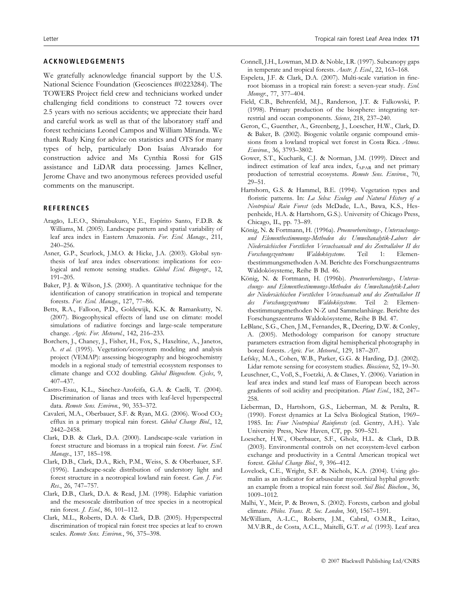# ACKNOWLEDGEMENTS

We gratefully acknowledge financial support by the U.S. National Science Foundation (Geosciences #0223284). The TOWERS Project field crew and technicians worked under challenging field conditions to construct 72 towers over 2.5 years with no serious accidents; we appreciate their hard and careful work as well as that of the laboratory staff and forest technicians Leonel Campos and William Miranda. We thank Rudy King for advice on statistics and OTS for many types of help, particularly Don Isaías Alvarado for construction advice and Ms Cynthia Rossi for GIS assistance and LiDAR data processing. James Kellner, Jerome Chave and two anonymous referees provided useful comments on the manuscript.

## **REFERENCES**

- Aragão, L.E.O., Shimabukuro, Y.E., Espírito Santo, F.D.B. & Williams, M. (2005). Landscape pattern and spatial variability of leaf area index in Eastern Amazonia. For. Ecol. Manage., 211, 240–256.
- Asner, G.P., Scurlock, J.M.O. & Hicke, J.A. (2003). Global synthesis of leaf area index observations: implications for ecological and remote sensing studies. Global Ecol. Biogeogr., 12, 191–205.
- Baker, P.J. & Wilson, J.S. (2000). A quantitative technique for the identification of canopy stratification in tropical and temperate forests. For. Ecol. Manage., 127, 77–86.
- Betts, R.A., Falloon, P.D., Goldewijk, K.K. & Ramankutty, N. (2007). Biogeophysical effects of land use on climate: model simulations of radiative forcings and large-scale temperature change. Agric. For. Meteorol., 142, 216-233.
- Borchers, J., Chaney, J., Fisher, H., Fox, S., Haxeltine, A., Janetos, A. et al. (1995). Vegetation/ecosystem modeling and analysis project (VEMAP): assessing biogeography and biogeochemistry models in a regional study of terrestrial ecosystem responses to climate change and CO2 doubling. Global Biogeochem. Cycles, 9, 407–437.
- Castro-Esau, K.L., Sánchez-Azofeifa, G.A. & Caelli, T. (2004). Discrimination of lianas and trees with leaf-level hyperspectral data. Remote Sens. Environ., 90, 353-372.
- Cavaleri, M.A., Oberbauer, S.F. & Ryan, M.G. (2006). Wood CO<sub>2</sub> efflux in a primary tropical rain forest. Global Change Biol., 12, 2442–2458.
- Clark, D.B. & Clark, D.A. (2000). Landscape-scale variation in forest structure and biomass in a tropical rain forest. For. Ecol. Manage., 137, 185–198.
- Clark, D.B., Clark, D.A., Rich, P.M., Weiss, S. & Oberbauer, S.F. (1996). Landscape-scale distribution of understory light and forest structure in a neotropical lowland rain forest. Can. J. For. Res., 26, 747–757.
- Clark, D.B., Clark, D.A. & Read, J.M. (1998). Edaphic variation and the mesoscale distribution of tree species in a neotropical rain forest. J. Ecol., 86, 101–112.
- Clark, M.L., Roberts, D.A. & Clark, D.B. (2005). Hyperspectral discrimination of tropical rain forest tree species at leaf to crown scales. Remote Sens. Environ., 96, 375-398.
- Connell, J.H., Lowman, M.D. & Noble, I.R. (1997). Subcanopy gaps in temperate and tropical forests. Austr. J. Ecol., 22, 163–168.
- Espeleta, J.F. & Clark, D.A. (2007). Multi-scale variation in fineroot biomass in a tropical rain forest: a seven-year study. Ecol. Monogr., 77, 377–404.
- Field, C.B., Behrenfeld, M.J., Randerson, J.T. & Falkowski, P. (1998). Primary production of the biosphere: integrating terrestrial and ocean components. Science, 218, 237–240.
- Geron, C., Guenther, A., Greenberg, J., Loescher, H.W., Clark, D. & Baker, B. (2002). Biogenic volatile organic compound emissions from a lowland tropical wet forest in Costa Rica. Atmos. Environ., 36, 3793–3802.
- Gower, S.T., Kucharik, C.J. & Norman, J.M. (1999). Direct and indirect estimation of leaf area index, f<sub>APAR</sub> and net primary production of terrestrial ecosystems. Remote Sens. Environ., 70, 29–51.
- Hartshorn, G.S. & Hammel, B.E. (1994). Vegetation types and floristic patterns. In: La Selva: Ecology and Natural History of a Neotropical Rain Forest (eds McDade, L.A., Bawa, K.S., Hespenheide, H.A. & Hartshorn, G.S.). University of Chicago Press, Chicago, IL, pp. 73–89.
- König, N. & Fortmann, H. (1996a). Proenvorbereitungs-, Untersuchungsund Elementbestimmungs-Methoden des Umweltanalytik-Labors der Niedersächischen Forstlichen Versuchsansalt und des Zentrallabor II des<br>Forschungszentrums Waldokösysteme. Teil 1: Elemen-Forschungszentrums tbestimmungsmethoden A-M. Berichte des Forschungszentrums Waldokösysteme, Reihe B Bd. 46.
- König, N. & Fortmann, H. (1996b). Proenvorbereitungs-, Untersuchungs- und Elementbestimmungs-Methoden des Umweltanalytik-Labors der Niedersächischen Forstlichen Versuchsansalt und des Zentrallabor II des Forschungszentrums Waldokösysteme. Teil 2: Elementbestimmungsmethoden N-Z und Sammelanhänge. Berichte des Forschungszentrums Waldokösysteme, Reihe B Bd. 47.
- LeBlanc, S.G., Chen, J.M., Fernandes, R., Deering, D.W. & Conley, A. (2005). Methodology comparison for canopy structure parameters extraction from digital hemispherical photography in boreal forests. Agric. For. Meteorol., 129, 187–207.
- Lefsky, M.A., Cohen, W.B., Parker, G.G. & Harding, D.J. (2002). Lidar remote sensing for ecosystem studies. Bioscience, 52, 19-30.
- Leuschner, C., Voß, S., Foetzki, A. & Clases, Y. (2006). Variation in leaf area index and stand leaf mass of European beech across gradients of soil acidity and precipitation. Plant Ecol., 182, 247-258.
- Lieberman, D., Hartshorn, G.S., Lieberman, M. & Peralta, R. (1990). Forest dynamics at La Selva Biological Station, 1969– 1985. In: Four Neotropical Rainforests (ed. Gentry, A.H.). Yale University Press, New Haven, CT, pp. 509–521.
- Loescher, H.W., Oberbauer, S.F., Gholz, H.L. & Clark, D.B. (2003). Environmental controls on net ecosystem-level carbon exchange and productivity in a Central American tropical wet forest. Global Change Biol., 9, 396–412.
- Lovelock, C.E., Wright, S.F. & Nichols, K.A. (2004). Using glomalin as an indicator for arbuscular mycorrhizal hyphal growth: an example from a tropical rain forest soil. Soil Biol. Biochem., 36, 1009–1012.
- Malhi, Y., Meir, P. & Brown, S. (2002). Forests, carbon and global climate. Philos. Trans. R. Soc. London, 360, 1567–1591.
- McWilliam, A.-L.C., Roberts, J.M., Cabral, O.M.R., Leitao, M.V.B.R., de Costa, A.C.L., Maitelli, G.T. et al. (1993). Leaf area